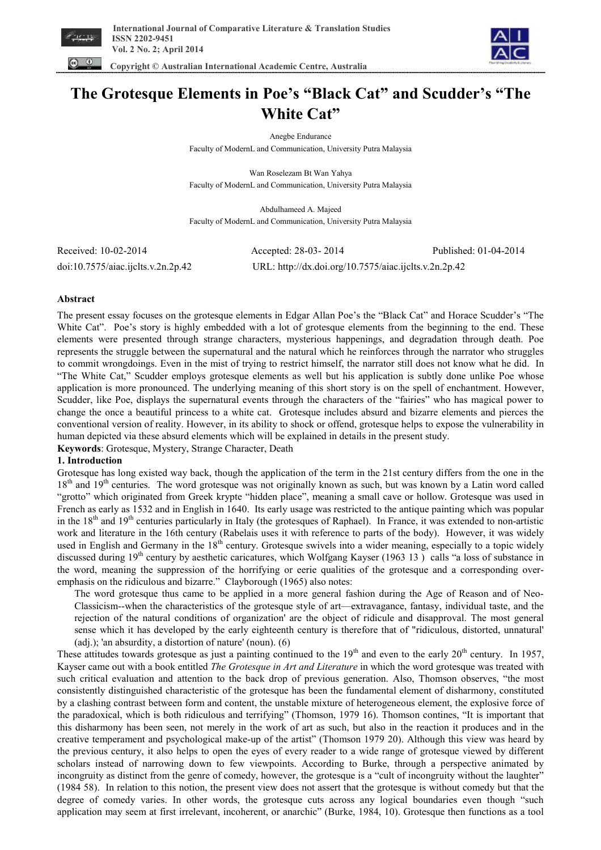

 **Copyright © Australian International Academic Centre, Australia** 



# **The Grotesque Elements in Poe's "Black Cat" and Scudder's "The White Cat"**

Anegbe Endurance

Faculty of ModernL and Communication, University Putra Malaysia

Wan Roselezam Bt Wan Yahya Faculty of ModernL and Communication, University Putra Malaysia

Abdulhameed A. Majeed Faculty of ModernL and Communication, University Putra Malaysia

doi:10.7575/aiac.ijclts.v.2n.2p.42 URL: http://dx.doi.org/10.7575/aiac.ijclts.v.2n.2p.42

Received: 10-02-2014 Accepted: 28-03- 2014 Published: 01-04-2014

# **Abstract**

The present essay focuses on the grotesque elements in Edgar Allan Poe's the "Black Cat" and Horace Scudder's "The White Cat". Poe's story is highly embedded with a lot of grotesque elements from the beginning to the end. These elements were presented through strange characters, mysterious happenings, and degradation through death. Poe represents the struggle between the supernatural and the natural which he reinforces through the narrator who struggles to commit wrongdoings. Even in the mist of trying to restrict himself, the narrator still does not know what he did. In "The White Cat," Scudder employs grotesque elements as well but his application is subtly done unlike Poe whose application is more pronounced. The underlying meaning of this short story is on the spell of enchantment. However, Scudder, like Poe, displays the supernatural events through the characters of the "fairies" who has magical power to change the once a beautiful princess to a white cat. Grotesque includes absurd and bizarre elements and pierces the conventional version of reality. However, in its ability to shock or offend, grotesque helps to expose the vulnerability in human depicted via these absurd elements which will be explained in details in the present study.

**Keywords**: Grotesque, Mystery, Strange Character, Death

# **1. Introduction**

Grotesque has long existed way back, though the application of the term in the 21st century differs from the one in the  $18<sup>th</sup>$  and  $19<sup>th</sup>$  centuries. The word grotesque was not originally known as such, but was known by a Latin word called "grotto" which originated from Greek krypte "hidden place", meaning a small cave or hollow. Grotesque was used in French as early as 1532 and in English in 1640. Its early usage was restricted to the antique painting which was popular in the  $18<sup>th</sup>$  and  $19<sup>th</sup>$  centuries particularly in Italy (the grotesques of Raphael). In France, it was extended to non-artistic work and literature in the 16th century (Rabelais uses it with reference to parts of the body). However, it was widely used in English and Germany in the  $18<sup>th</sup>$  century. Grotesque swivels into a wider meaning, especially to a topic widely discussed during 19<sup>th</sup> century by aesthetic caricatures, which Wolfgang Kayser (1963 13) calls "a loss of substance in the word, meaning the suppression of the horrifying or eerie qualities of the grotesque and a corresponding overemphasis on the ridiculous and bizarre." Clayborough (1965) also notes:

The word grotesque thus came to be applied in a more general fashion during the Age of Reason and of Neo-Classicism--when the characteristics of the grotesque style of art—extravagance, fantasy, individual taste, and the rejection of the natural conditions of organization' are the object of ridicule and disapproval. The most general sense which it has developed by the early eighteenth century is therefore that of "ridiculous, distorted, unnatural' (adj.); 'an absurdity, a distortion of nature' (noun). (6)

These attitudes towards grotesque as just a painting continued to the 19<sup>th</sup> and even to the early  $20<sup>th</sup>$  century. In 1957, Kayser came out with a book entitled *The Grotesque in Art and Literature* in which the word grotesque was treated with such critical evaluation and attention to the back drop of previous generation. Also, Thomson observes, "the most consistently distinguished characteristic of the grotesque has been the fundamental element of disharmony, constituted by a clashing contrast between form and content, the unstable mixture of heterogeneous element, the explosive force of the paradoxical, which is both ridiculous and terrifying" (Thomson, 1979 16). Thomson contines, "It is important that this disharmony has been seen, not merely in the work of art as such, but also in the reaction it produces and in the creative temperament and psychological make-up of the artist" (Thomson 1979 20). Although this view was heard by the previous century, it also helps to open the eyes of every reader to a wide range of grotesque viewed by different scholars instead of narrowing down to few viewpoints. According to Burke, through a perspective animated by incongruity as distinct from the genre of comedy, however, the grotesque is a "cult of incongruity without the laughter" (1984 58). In relation to this notion, the present view does not assert that the grotesque is without comedy but that the degree of comedy varies. In other words, the grotesque cuts across any logical boundaries even though "such application may seem at first irrelevant, incoherent, or anarchic" (Burke, 1984, 10). Grotesque then functions as a tool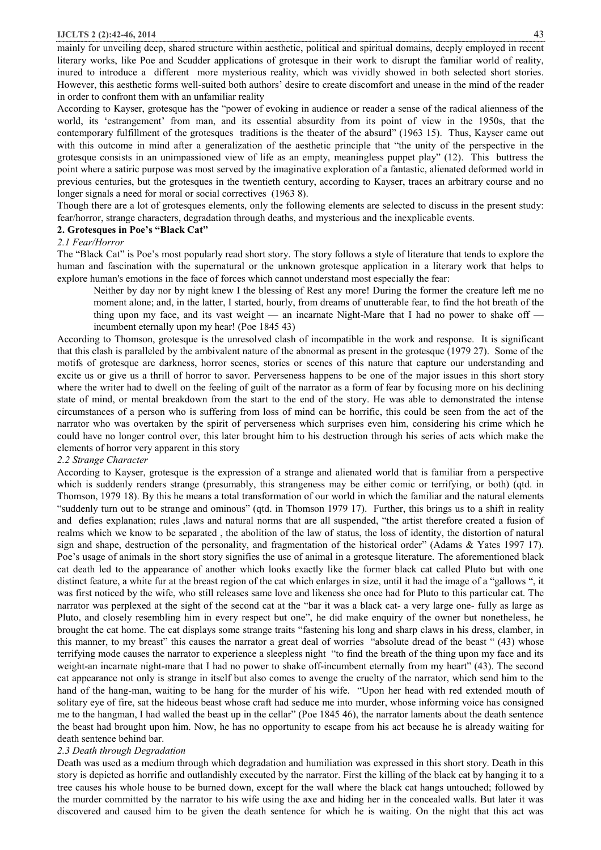#### **IJCLTS 2 (2):42-46, 2014** 43

mainly for unveiling deep, shared structure within aesthetic, political and spiritual domains, deeply employed in recent literary works, like Poe and Scudder applications of grotesque in their work to disrupt the familiar world of reality, inured to introduce a different more mysterious reality, which was vividly showed in both selected short stories. However, this aesthetic forms well-suited both authors' desire to create discomfort and unease in the mind of the reader in order to confront them with an unfamiliar reality

According to Kayser, grotesque has the "power of evoking in audience or reader a sense of the radical alienness of the world, its 'estrangement' from man, and its essential absurdity from its point of view in the 1950s, that the contemporary fulfillment of the grotesques traditions is the theater of the absurd" (1963 15). Thus, Kayser came out with this outcome in mind after a generalization of the aesthetic principle that "the unity of the perspective in the grotesque consists in an unimpassioned view of life as an empty, meaningless puppet play" (12). This buttress the point where a satiric purpose was most served by the imaginative exploration of a fantastic, alienated deformed world in previous centuries, but the grotesques in the twentieth century, according to Kayser, traces an arbitrary course and no longer signals a need for moral or social correctives (1963 8).

Though there are a lot of grotesques elements, only the following elements are selected to discuss in the present study: fear/horror, strange characters, degradation through deaths, and mysterious and the inexplicable events.

## **2. Grotesques in Poe's "Black Cat"**

#### *2.1 Fear/Horror*

The "Black Cat" is Poe's most popularly read short story. The story follows a style of literature that tends to explore the human and fascination with the supernatural or the unknown grotesque application in a literary work that helps to explore human's emotions in the face of forces which cannot understand most especially the fear:

Neither by day nor by night knew I the blessing of Rest any more! During the former the creature left me no moment alone; and, in the latter, I started, hourly, from dreams of unutterable fear, to find the hot breath of the thing upon my face, and its vast weight — an incarnate Night-Mare that I had no power to shake off incumbent eternally upon my hear! (Poe 1845 43)

According to Thomson, grotesque is the unresolved clash of incompatible in the work and response. It is significant that this clash is paralleled by the ambivalent nature of the abnormal as present in the grotesque (1979 27). Some of the motifs of grotesque are darkness, horror scenes, stories or scenes of this nature that capture our understanding and excite us or give us a thrill of horror to savor. Perverseness happens to be one of the major issues in this short story where the writer had to dwell on the feeling of guilt of the narrator as a form of fear by focusing more on his declining state of mind, or mental breakdown from the start to the end of the story. He was able to demonstrated the intense circumstances of a person who is suffering from loss of mind can be horrific, this could be seen from the act of the narrator who was overtaken by the spirit of perverseness which surprises even him, considering his crime which he could have no longer control over, this later brought him to his destruction through his series of acts which make the elements of horror very apparent in this story

# *2.2 Strange Character*

According to Kayser, grotesque is the expression of a strange and alienated world that is familiar from a perspective which is suddenly renders strange (presumably, this strangeness may be either comic or terrifying, or both) (qtd. in Thomson, 1979 18). By this he means a total transformation of our world in which the familiar and the natural elements "suddenly turn out to be strange and ominous" (qtd. in Thomson 1979 17). Further, this brings us to a shift in reality and defies explanation; rules ,laws and natural norms that are all suspended, "the artist therefore created a fusion of realms which we know to be separated , the abolition of the law of status, the loss of identity, the distortion of natural sign and shape, destruction of the personality, and fragmentation of the historical order" (Adams & Yates 1997 17). Poe's usage of animals in the short story signifies the use of animal in a grotesque literature. The aforementioned black cat death led to the appearance of another which looks exactly like the former black cat called Pluto but with one distinct feature, a white fur at the breast region of the cat which enlarges in size, until it had the image of a "gallows ", it was first noticed by the wife, who still releases same love and likeness she once had for Pluto to this particular cat. The narrator was perplexed at the sight of the second cat at the "bar it was a black cat- a very large one- fully as large as Pluto, and closely resembling him in every respect but one", he did make enquiry of the owner but nonetheless, he brought the cat home. The cat displays some strange traits "fastening his long and sharp claws in his dress, clamber, in this manner, to my breast" this causes the narrator a great deal of worries "absolute dread of the beast " (43) whose terrifying mode causes the narrator to experience a sleepless night "to find the breath of the thing upon my face and its weight-an incarnate night-mare that I had no power to shake off-incumbent eternally from my heart" (43). The second cat appearance not only is strange in itself but also comes to avenge the cruelty of the narrator, which send him to the hand of the hang-man, waiting to be hang for the murder of his wife. "Upon her head with red extended mouth of solitary eye of fire, sat the hideous beast whose craft had seduce me into murder, whose informing voice has consigned me to the hangman, I had walled the beast up in the cellar" (Poe 1845 46), the narrator laments about the death sentence the beast had brought upon him. Now, he has no opportunity to escape from his act because he is already waiting for death sentence behind bar.

#### *2.3 Death through Degradation*

Death was used as a medium through which degradation and humiliation was expressed in this short story. Death in this story is depicted as horrific and outlandishly executed by the narrator. First the killing of the black cat by hanging it to a tree causes his whole house to be burned down, except for the wall where the black cat hangs untouched; followed by the murder committed by the narrator to his wife using the axe and hiding her in the concealed walls. But later it was discovered and caused him to be given the death sentence for which he is waiting. On the night that this act was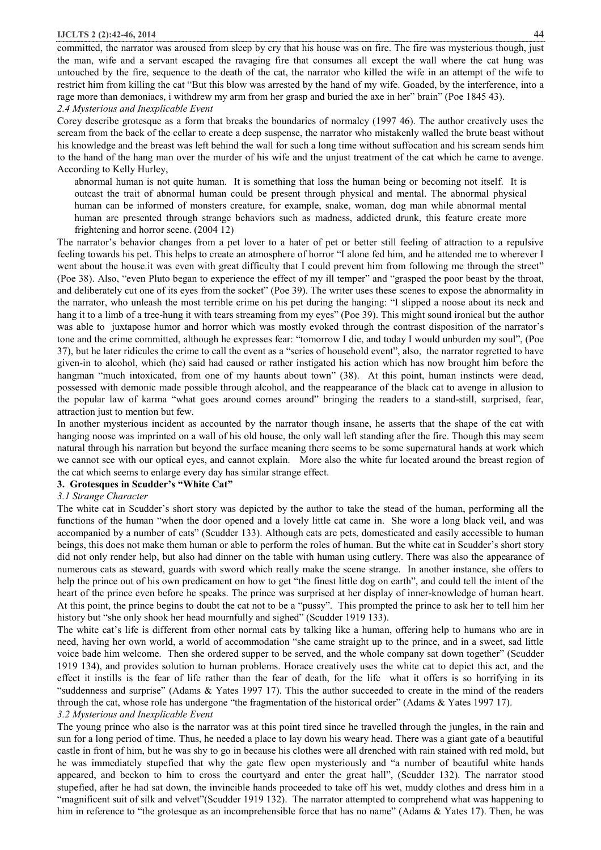## **IJCLTS 2 (2):42-46, 2014** 44

committed, the narrator was aroused from sleep by cry that his house was on fire. The fire was mysterious though, just the man, wife and a servant escaped the ravaging fire that consumes all except the wall where the cat hung was untouched by the fire, sequence to the death of the cat, the narrator who killed the wife in an attempt of the wife to restrict him from killing the cat "But this blow was arrested by the hand of my wife. Goaded, by the interference, into a rage more than demoniacs, i withdrew my arm from her grasp and buried the axe in her" brain" (Poe 1845 43).

*2.4 Mysterious and Inexplicable Event* 

Corey describe grotesque as a form that breaks the boundaries of normalcy (1997 46). The author creatively uses the scream from the back of the cellar to create a deep suspense, the narrator who mistakenly walled the brute beast without his knowledge and the breast was left behind the wall for such a long time without suffocation and his scream sends him to the hand of the hang man over the murder of his wife and the unjust treatment of the cat which he came to avenge. According to Kelly Hurley,

abnormal human is not quite human. It is something that loss the human being or becoming not itself. It is outcast the trait of abnormal human could be present through physical and mental. The abnormal physical human can be informed of monsters creature, for example, snake, woman, dog man while abnormal mental human are presented through strange behaviors such as madness, addicted drunk, this feature create more frightening and horror scene. (2004 12)

The narrator's behavior changes from a pet lover to a hater of pet or better still feeling of attraction to a repulsive feeling towards his pet. This helps to create an atmosphere of horror "I alone fed him, and he attended me to wherever I went about the house.it was even with great difficulty that I could prevent him from following me through the street" (Poe 38). Also, "even Pluto began to experience the effect of my ill temper" and "grasped the poor beast by the throat, and deliberately cut one of its eyes from the socket" (Poe 39). The writer uses these scenes to expose the abnormality in the narrator, who unleash the most terrible crime on his pet during the hanging: "I slipped a noose about its neck and hang it to a limb of a tree-hung it with tears streaming from my eyes" (Poe 39). This might sound ironical but the author was able to juxtapose humor and horror which was mostly evoked through the contrast disposition of the narrator's tone and the crime committed, although he expresses fear: "tomorrow I die, and today I would unburden my soul", (Poe 37), but he later ridicules the crime to call the event as a "series of household event", also, the narrator regretted to have given-in to alcohol, which (he) said had caused or rather instigated his action which has now brought him before the hangman "much intoxicated, from one of my haunts about town" (38). At this point, human instincts were dead, possessed with demonic made possible through alcohol, and the reappearance of the black cat to avenge in allusion to the popular law of karma "what goes around comes around" bringing the readers to a stand-still, surprised, fear, attraction just to mention but few.

In another mysterious incident as accounted by the narrator though insane, he asserts that the shape of the cat with hanging noose was imprinted on a wall of his old house, the only wall left standing after the fire. Though this may seem natural through his narration but beyond the surface meaning there seems to be some supernatural hands at work which we cannot see with our optical eyes, and cannot explain. More also the white fur located around the breast region of the cat which seems to enlarge every day has similar strange effect.

# **3. Grotesques in Scudder's "White Cat"**

#### *3.1 Strange Character*

The white cat in Scudder's short story was depicted by the author to take the stead of the human, performing all the functions of the human "when the door opened and a lovely little cat came in. She wore a long black veil, and was accompanied by a number of cats" (Scudder 133). Although cats are pets, domesticated and easily accessible to human beings, this does not make them human or able to perform the roles of human. But the white cat in Scudder's short story did not only render help, but also had dinner on the table with human using cutlery. There was also the appearance of numerous cats as steward, guards with sword which really make the scene strange. In another instance, she offers to help the prince out of his own predicament on how to get "the finest little dog on earth", and could tell the intent of the heart of the prince even before he speaks. The prince was surprised at her display of inner-knowledge of human heart. At this point, the prince begins to doubt the cat not to be a "pussy". This prompted the prince to ask her to tell him her history but "she only shook her head mournfully and sighed" (Scudder 1919 133).

The white cat's life is different from other normal cats by talking like a human, offering help to humans who are in need, having her own world, a world of accommodation "she came straight up to the prince, and in a sweet, sad little voice bade him welcome. Then she ordered supper to be served, and the whole company sat down together" (Scudder 1919 134), and provides solution to human problems. Horace creatively uses the white cat to depict this act, and the effect it instills is the fear of life rather than the fear of death, for the life what it offers is so horrifying in its "suddenness and surprise" (Adams & Yates 1997 17). This the author succeeded to create in the mind of the readers through the cat, whose role has undergone "the fragmentation of the historical order" (Adams & Yates 1997 17).

*3.2 Mysterious and Inexplicable Event* 

The young prince who also is the narrator was at this point tired since he travelled through the jungles, in the rain and sun for a long period of time. Thus, he needed a place to lay down his weary head. There was a giant gate of a beautiful castle in front of him, but he was shy to go in because his clothes were all drenched with rain stained with red mold, but he was immediately stupefied that why the gate flew open mysteriously and "a number of beautiful white hands appeared, and beckon to him to cross the courtyard and enter the great hall", (Scudder 132). The narrator stood stupefied, after he had sat down, the invincible hands proceeded to take off his wet, muddy clothes and dress him in a "magnificent suit of silk and velvet"(Scudder 1919 132). The narrator attempted to comprehend what was happening to him in reference to "the grotesque as an incomprehensible force that has no name" (Adams & Yates 17). Then, he was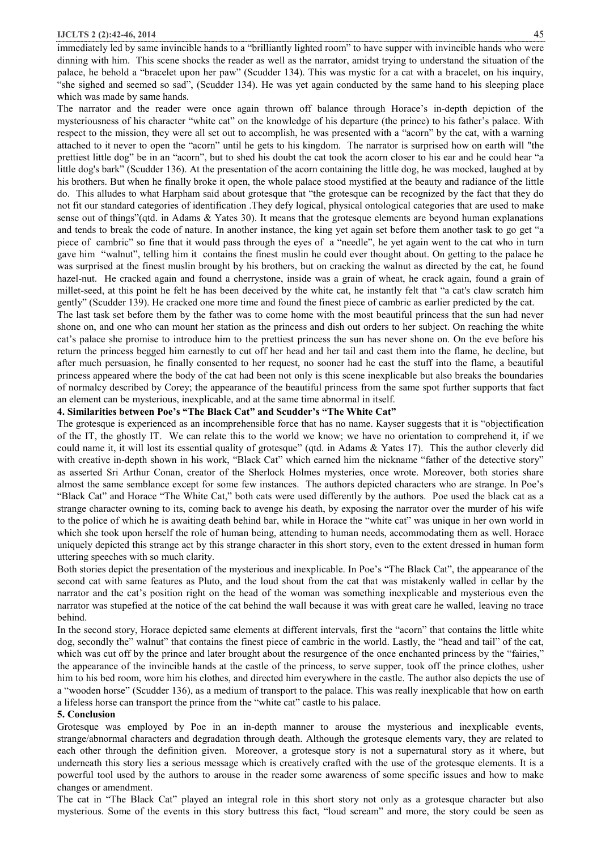immediately led by same invincible hands to a "brilliantly lighted room" to have supper with invincible hands who were dinning with him. This scene shocks the reader as well as the narrator, amidst trying to understand the situation of the palace, he behold a "bracelet upon her paw" (Scudder 134). This was mystic for a cat with a bracelet, on his inquiry, "she sighed and seemed so sad", (Scudder 134). He was yet again conducted by the same hand to his sleeping place which was made by same hands.

The narrator and the reader were once again thrown off balance through Horace's in-depth depiction of the mysteriousness of his character "white cat" on the knowledge of his departure (the prince) to his father's palace. With respect to the mission, they were all set out to accomplish, he was presented with a "acorn" by the cat, with a warning attached to it never to open the "acorn" until he gets to his kingdom. The narrator is surprised how on earth will "the prettiest little dog" be in an "acorn", but to shed his doubt the cat took the acorn closer to his ear and he could hear "a little dog's bark" (Scudder 136). At the presentation of the acorn containing the little dog, he was mocked, laughed at by his brothers. But when he finally broke it open, the whole palace stood mystified at the beauty and radiance of the little do. This alludes to what Harpham said about grotesque that "the grotesque can be recognized by the fact that they do not fit our standard categories of identification .They defy logical, physical ontological categories that are used to make sense out of things"(qtd. in Adams & Yates 30). It means that the grotesque elements are beyond human explanations and tends to break the code of nature. In another instance, the king yet again set before them another task to go get "a piece of cambric" so fine that it would pass through the eyes of a "needle", he yet again went to the cat who in turn gave him "walnut", telling him it contains the finest muslin he could ever thought about. On getting to the palace he was surprised at the finest muslin brought by his brothers, but on cracking the walnut as directed by the cat, he found hazel-nut. He cracked again and found a cherrystone, inside was a grain of wheat, he crack again, found a grain of millet-seed, at this point he felt he has been deceived by the white cat, he instantly felt that "a cat's claw scratch him gently" (Scudder 139). He cracked one more time and found the finest piece of cambric as earlier predicted by the cat.

The last task set before them by the father was to come home with the most beautiful princess that the sun had never shone on, and one who can mount her station as the princess and dish out orders to her subject. On reaching the white cat's palace she promise to introduce him to the prettiest princess the sun has never shone on. On the eve before his return the princess begged him earnestly to cut off her head and her tail and cast them into the flame, he decline, but after much persuasion, he finally consented to her request, no sooner had he cast the stuff into the flame, a beautiful princess appeared where the body of the cat had been not only is this scene inexplicable but also breaks the boundaries of normalcy described by Corey; the appearance of the beautiful princess from the same spot further supports that fact an element can be mysterious, inexplicable, and at the same time abnormal in itself.

## **4. Similarities between Poe's "The Black Cat" and Scudder's "The White Cat"**

The grotesque is experienced as an incomprehensible force that has no name. Kayser suggests that it is "objectification of the IT, the ghostly IT. We can relate this to the world we know; we have no orientation to comprehend it, if we could name it, it will lost its essential quality of grotesque" (qtd. in Adams & Yates 17). This the author cleverly did with creative in-depth shown in his work, "Black Cat" which earned him the nickname "father of the detective story" as asserted Sri Arthur Conan, creator of the Sherlock Holmes mysteries, once wrote. Moreover, both stories share almost the same semblance except for some few instances. The authors depicted characters who are strange. In Poe's "Black Cat" and Horace "The White Cat," both cats were used differently by the authors. Poe used the black cat as a strange character owning to its, coming back to avenge his death, by exposing the narrator over the murder of his wife to the police of which he is awaiting death behind bar, while in Horace the "white cat" was unique in her own world in which she took upon herself the role of human being, attending to human needs, accommodating them as well. Horace uniquely depicted this strange act by this strange character in this short story, even to the extent dressed in human form uttering speeches with so much clarity.

Both stories depict the presentation of the mysterious and inexplicable. In Poe's "The Black Cat", the appearance of the second cat with same features as Pluto, and the loud shout from the cat that was mistakenly walled in cellar by the narrator and the cat's position right on the head of the woman was something inexplicable and mysterious even the narrator was stupefied at the notice of the cat behind the wall because it was with great care he walled, leaving no trace behind.

In the second story, Horace depicted same elements at different intervals, first the "acorn" that contains the little white dog, secondly the" walnut" that contains the finest piece of cambric in the world. Lastly, the "head and tail" of the cat, which was cut off by the prince and later brought about the resurgence of the once enchanted princess by the "fairies," the appearance of the invincible hands at the castle of the princess, to serve supper, took off the prince clothes, usher him to his bed room, wore him his clothes, and directed him everywhere in the castle. The author also depicts the use of a "wooden horse" (Scudder 136), as a medium of transport to the palace. This was really inexplicable that how on earth a lifeless horse can transport the prince from the "white cat" castle to his palace.

#### **5. Conclusion**

Grotesque was employed by Poe in an in-depth manner to arouse the mysterious and inexplicable events, strange/abnormal characters and degradation through death. Although the grotesque elements vary, they are related to each other through the definition given. Moreover, a grotesque story is not a supernatural story as it where, but underneath this story lies a serious message which is creatively crafted with the use of the grotesque elements. It is a powerful tool used by the authors to arouse in the reader some awareness of some specific issues and how to make changes or amendment.

The cat in "The Black Cat" played an integral role in this short story not only as a grotesque character but also mysterious. Some of the events in this story buttress this fact, "loud scream" and more, the story could be seen as